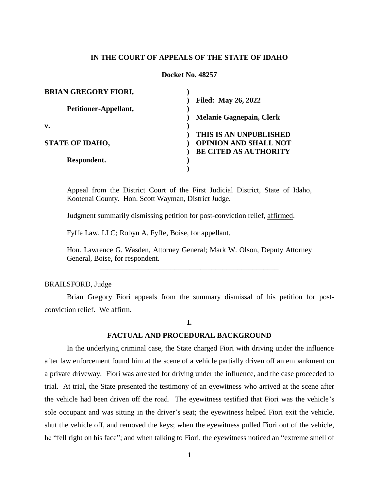## **IN THE COURT OF APPEALS OF THE STATE OF IDAHO**

### **Docket No. 48257**

| <b>BRIAN GREGORY FIORI,</b> |                                 |
|-----------------------------|---------------------------------|
|                             | <b>Filed: May 26, 2022</b>      |
| Petitioner-Appellant,       |                                 |
|                             | <b>Melanie Gagnepain, Clerk</b> |
| v.                          |                                 |
|                             | THIS IS AN UNPUBLISHED          |
| <b>STATE OF IDAHO,</b>      | <b>OPINION AND SHALL NOT</b>    |
|                             | <b>BE CITED AS AUTHORITY</b>    |
| Respondent.                 |                                 |
|                             |                                 |

Appeal from the District Court of the First Judicial District, State of Idaho, Kootenai County. Hon. Scott Wayman, District Judge.

Judgment summarily dismissing petition for post-conviction relief, affirmed.

Fyffe Law, LLC; Robyn A. Fyffe, Boise, for appellant.

Hon. Lawrence G. Wasden, Attorney General; Mark W. Olson, Deputy Attorney General, Boise, for respondent. \_\_\_\_\_\_\_\_\_\_\_\_\_\_\_\_\_\_\_\_\_\_\_\_\_\_\_\_\_\_\_\_\_\_\_\_\_\_\_\_\_\_\_\_\_\_\_\_

#### BRAILSFORD, Judge

Brian Gregory Fiori appeals from the summary dismissal of his petition for postconviction relief. We affirm.

#### **I.**

## **FACTUAL AND PROCEDURAL BACKGROUND**

In the underlying criminal case, the State charged Fiori with driving under the influence after law enforcement found him at the scene of a vehicle partially driven off an embankment on a private driveway. Fiori was arrested for driving under the influence, and the case proceeded to trial. At trial, the State presented the testimony of an eyewitness who arrived at the scene after the vehicle had been driven off the road. The eyewitness testified that Fiori was the vehicle's sole occupant and was sitting in the driver's seat; the eyewitness helped Fiori exit the vehicle, shut the vehicle off, and removed the keys; when the eyewitness pulled Fiori out of the vehicle, he "fell right on his face"; and when talking to Fiori, the eyewitness noticed an "extreme smell of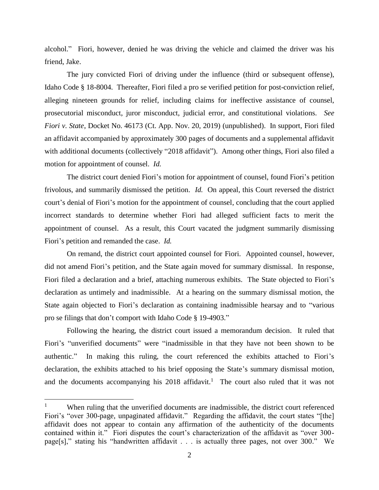alcohol." Fiori, however, denied he was driving the vehicle and claimed the driver was his friend, Jake.

The jury convicted Fiori of driving under the influence (third or subsequent offense), Idaho Code § 18-8004. Thereafter, Fiori filed a pro se verified petition for post-conviction relief, alleging nineteen grounds for relief, including claims for ineffective assistance of counsel, prosecutorial misconduct, juror misconduct, judicial error, and constitutional violations. *See Fiori v. State*, Docket No. 46173 (Ct. App. Nov. 20, 2019) (unpublished). In support, Fiori filed an affidavit accompanied by approximately 300 pages of documents and a supplemental affidavit with additional documents (collectively "2018 affidavit"). Among other things, Fiori also filed a motion for appointment of counsel. *Id.*

The district court denied Fiori's motion for appointment of counsel, found Fiori's petition frivolous, and summarily dismissed the petition. *Id.* On appeal, this Court reversed the district court's denial of Fiori's motion for the appointment of counsel, concluding that the court applied incorrect standards to determine whether Fiori had alleged sufficient facts to merit the appointment of counsel. As a result, this Court vacated the judgment summarily dismissing Fiori's petition and remanded the case. *Id.*

On remand, the district court appointed counsel for Fiori. Appointed counsel, however, did not amend Fiori's petition, and the State again moved for summary dismissal. In response, Fiori filed a declaration and a brief, attaching numerous exhibits. The State objected to Fiori's declaration as untimely and inadmissible. At a hearing on the summary dismissal motion, the State again objected to Fiori's declaration as containing inadmissible hearsay and to "various pro se filings that don't comport with Idaho Code § 19-4903."

Following the hearing, the district court issued a memorandum decision. It ruled that Fiori's "unverified documents" were "inadmissible in that they have not been shown to be authentic." In making this ruling, the court referenced the exhibits attached to Fiori's declaration, the exhibits attached to his brief opposing the State's summary dismissal motion, and the documents accompanying his  $2018$  affidavit.<sup>1</sup> The court also ruled that it was not

<sup>1</sup> When ruling that the unverified documents are inadmissible, the district court referenced Fiori's "over 300-page, unpaginated affidavit." Regarding the affidavit, the court states "[the] affidavit does not appear to contain any affirmation of the authenticity of the documents contained within it." Fiori disputes the court's characterization of the affidavit as "over 300 page[s]," stating his "handwritten affidavit . . . is actually three pages, not over 300." We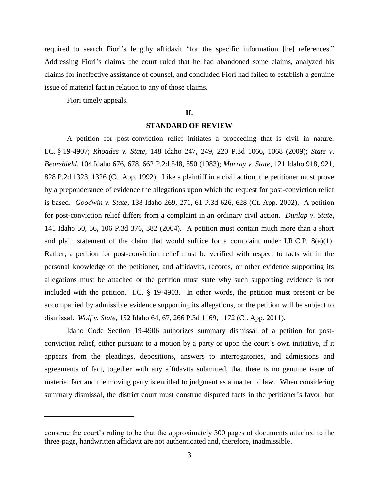required to search Fiori's lengthy affidavit "for the specific information [he] references." Addressing Fiori's claims, the court ruled that he had abandoned some claims, analyzed his claims for ineffective assistance of counsel, and concluded Fiori had failed to establish a genuine issue of material fact in relation to any of those claims.

Fiori timely appeals.

 $\overline{a}$ 

## **II.**

## **STANDARD OF REVIEW**

A petition for post-conviction relief initiates a proceeding that is civil in nature. I.C. § 19-4907; *Rhoades v. State*, 148 Idaho 247, 249, 220 P.3d 1066, 1068 (2009); *State v. Bearshield*, 104 Idaho 676, 678, 662 P.2d 548, 550 (1983); *Murray v. State*, 121 Idaho 918, 921, 828 P.2d 1323, 1326 (Ct. App. 1992). Like a plaintiff in a civil action, the petitioner must prove by a preponderance of evidence the allegations upon which the request for post-conviction relief is based. *Goodwin v. State*, 138 Idaho 269, 271, 61 P.3d 626, 628 (Ct. App. 2002). A petition for post-conviction relief differs from a complaint in an ordinary civil action. *Dunlap v. State*, 141 Idaho 50, 56, 106 P.3d 376, 382 (2004). A petition must contain much more than a short and plain statement of the claim that would suffice for a complaint under I.R.C.P.  $8(a)(1)$ . Rather, a petition for post-conviction relief must be verified with respect to facts within the personal knowledge of the petitioner, and affidavits, records, or other evidence supporting its allegations must be attached or the petition must state why such supporting evidence is not included with the petition. I.C. § 19-4903. In other words, the petition must present or be accompanied by admissible evidence supporting its allegations, or the petition will be subject to dismissal. *Wolf v. State*, 152 Idaho 64, 67, 266 P.3d 1169, 1172 (Ct. App. 2011).

Idaho Code Section 19-4906 authorizes summary dismissal of a petition for postconviction relief, either pursuant to a motion by a party or upon the court's own initiative, if it appears from the pleadings, depositions, answers to interrogatories, and admissions and agreements of fact, together with any affidavits submitted, that there is no genuine issue of material fact and the moving party is entitled to judgment as a matter of law. When considering summary dismissal, the district court must construe disputed facts in the petitioner's favor, but

construe the court's ruling to be that the approximately 300 pages of documents attached to the three-page, handwritten affidavit are not authenticated and, therefore, inadmissible.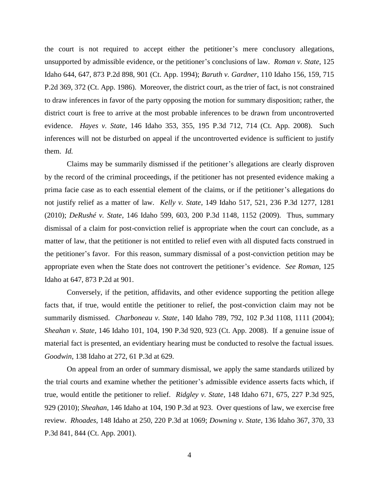the court is not required to accept either the petitioner's mere conclusory allegations, unsupported by admissible evidence, or the petitioner's conclusions of law. *Roman v. State*, 125 Idaho 644, 647, 873 P.2d 898, 901 (Ct. App. 1994); *Baruth v. Gardner*, 110 Idaho 156, 159, 715 P.2d 369, 372 (Ct. App. 1986). Moreover, the district court, as the trier of fact, is not constrained to draw inferences in favor of the party opposing the motion for summary disposition; rather, the district court is free to arrive at the most probable inferences to be drawn from uncontroverted evidence. *Hayes v. State*, 146 Idaho 353, 355, 195 P.3d 712, 714 (Ct. App. 2008). Such inferences will not be disturbed on appeal if the uncontroverted evidence is sufficient to justify them. *Id.*

Claims may be summarily dismissed if the petitioner's allegations are clearly disproven by the record of the criminal proceedings, if the petitioner has not presented evidence making a prima facie case as to each essential element of the claims, or if the petitioner's allegations do not justify relief as a matter of law. *Kelly v. State*, 149 Idaho 517, 521, 236 P.3d 1277, 1281 (2010); *DeRushé v. State*, 146 Idaho 599, 603, 200 P.3d 1148, 1152 (2009). Thus, summary dismissal of a claim for post-conviction relief is appropriate when the court can conclude, as a matter of law, that the petitioner is not entitled to relief even with all disputed facts construed in the petitioner's favor. For this reason, summary dismissal of a post-conviction petition may be appropriate even when the State does not controvert the petitioner's evidence. *See Roman*, 125 Idaho at 647, 873 P.2d at 901.

Conversely, if the petition, affidavits, and other evidence supporting the petition allege facts that, if true, would entitle the petitioner to relief, the post-conviction claim may not be summarily dismissed. *Charboneau v. State*, 140 Idaho 789, 792, 102 P.3d 1108, 1111 (2004); *Sheahan v. State*, 146 Idaho 101, 104, 190 P.3d 920, 923 (Ct. App. 2008). If a genuine issue of material fact is presented, an evidentiary hearing must be conducted to resolve the factual issues. *Goodwin*, 138 Idaho at 272, 61 P.3d at 629.

On appeal from an order of summary dismissal, we apply the same standards utilized by the trial courts and examine whether the petitioner's admissible evidence asserts facts which, if true, would entitle the petitioner to relief. *Ridgley v. State*, 148 Idaho 671, 675, 227 P.3d 925, 929 (2010); *Sheahan*, 146 Idaho at 104, 190 P.3d at 923. Over questions of law, we exercise free review. *Rhoades*, 148 Idaho at 250, 220 P.3d at 1069; *Downing v. State*, 136 Idaho 367, 370, 33 P.3d 841, 844 (Ct. App. 2001).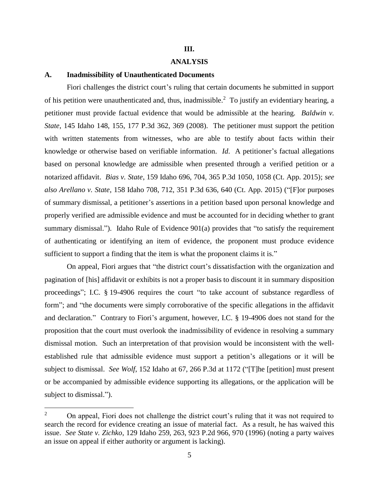## **III.**

## **ANALYSIS**

# **A. Inadmissibility of Unauthenticated Documents**

Fiori challenges the district court's ruling that certain documents he submitted in support of his petition were unauthenticated and, thus, inadmissible.<sup>2</sup> To justify an evidentiary hearing, a petitioner must provide factual evidence that would be admissible at the hearing. *Baldwin v. State*, 145 Idaho 148, 155, 177 P.3d 362, 369 (2008). The petitioner must support the petition with written statements from witnesses, who are able to testify about facts within their knowledge or otherwise based on verifiable information. *Id*. A petitioner's factual allegations based on personal knowledge are admissible when presented through a verified petition or a notarized affidavit. *Bias v. State*, 159 Idaho 696, 704, 365 P.3d 1050, 1058 (Ct. App. 2015); *see also Arellano v. State*, 158 Idaho 708, 712, 351 P.3d 636, 640 (Ct. App. 2015) ("[F]or purposes of summary dismissal, a petitioner's assertions in a petition based upon personal knowledge and properly verified are admissible evidence and must be accounted for in deciding whether to grant summary dismissal."). Idaho Rule of Evidence 901(a) provides that "to satisfy the requirement of authenticating or identifying an item of evidence, the proponent must produce evidence sufficient to support a finding that the item is what the proponent claims it is."

On appeal, Fiori argues that "the district court's dissatisfaction with the organization and pagination of [his] affidavit or exhibits is not a proper basis to discount it in summary disposition proceedings"; I.C. § 19-4906 requires the court "to take account of substance regardless of form"; and "the documents were simply corroborative of the specific allegations in the affidavit and declaration." Contrary to Fiori's argument, however, I.C. § 19-4906 does not stand for the proposition that the court must overlook the inadmissibility of evidence in resolving a summary dismissal motion. Such an interpretation of that provision would be inconsistent with the wellestablished rule that admissible evidence must support a petition's allegations or it will be subject to dismissal. *See Wolf*, 152 Idaho at 67, 266 P.3d at 1172 ("[T]he [petition] must present or be accompanied by admissible evidence supporting its allegations, or the application will be subject to dismissal.").

<sup>&</sup>lt;sup>2</sup> On appeal, Fiori does not challenge the district court's ruling that it was not required to search the record for evidence creating an issue of material fact. As a result, he has waived this issue. *See State v. Zichko*, 129 Idaho 259, 263, 923 P.2d 966, 970 (1996) (noting a party waives an issue on appeal if either authority or argument is lacking).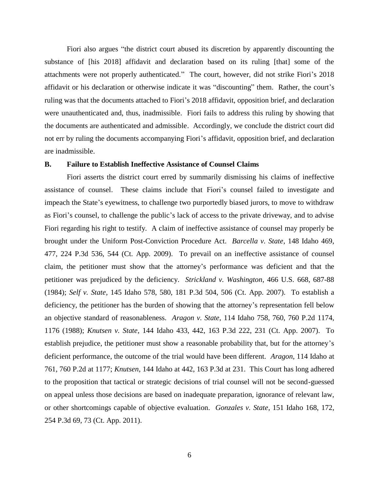Fiori also argues "the district court abused its discretion by apparently discounting the substance of [his 2018] affidavit and declaration based on its ruling [that] some of the attachments were not properly authenticated." The court, however, did not strike Fiori's 2018 affidavit or his declaration or otherwise indicate it was "discounting" them. Rather, the court's ruling was that the documents attached to Fiori's 2018 affidavit, opposition brief, and declaration were unauthenticated and, thus, inadmissible. Fiori fails to address this ruling by showing that the documents are authenticated and admissible. Accordingly, we conclude the district court did not err by ruling the documents accompanying Fiori's affidavit, opposition brief, and declaration are inadmissible.

### **B. Failure to Establish Ineffective Assistance of Counsel Claims**

Fiori asserts the district court erred by summarily dismissing his claims of ineffective assistance of counsel. These claims include that Fiori's counsel failed to investigate and impeach the State's eyewitness, to challenge two purportedly biased jurors, to move to withdraw as Fiori's counsel, to challenge the public's lack of access to the private driveway, and to advise Fiori regarding his right to testify. A claim of ineffective assistance of counsel may properly be brought under the Uniform Post-Conviction Procedure Act. *Barcella v. State*, 148 Idaho 469, 477, 224 P.3d 536, 544 (Ct. App. 2009). To prevail on an ineffective assistance of counsel claim, the petitioner must show that the attorney's performance was deficient and that the petitioner was prejudiced by the deficiency. *Strickland v. Washington*, 466 U.S. 668, 687-88 (1984); *Self v. State*, 145 Idaho 578, 580, 181 P.3d 504, 506 (Ct. App. 2007). To establish a deficiency, the petitioner has the burden of showing that the attorney's representation fell below an objective standard of reasonableness. *Aragon v. State*, 114 Idaho 758, 760, 760 P.2d 1174, 1176 (1988); *Knutsen v. State*, 144 Idaho 433, 442, 163 P.3d 222, 231 (Ct. App. 2007). To establish prejudice, the petitioner must show a reasonable probability that, but for the attorney's deficient performance, the outcome of the trial would have been different. *Aragon*, 114 Idaho at 761, 760 P.2d at 1177; *Knutsen*, 144 Idaho at 442, 163 P.3d at 231. This Court has long adhered to the proposition that tactical or strategic decisions of trial counsel will not be second-guessed on appeal unless those decisions are based on inadequate preparation, ignorance of relevant law, or other shortcomings capable of objective evaluation. *Gonzales v. State*, 151 Idaho 168, 172, 254 P.3d 69, 73 (Ct. App. 2011).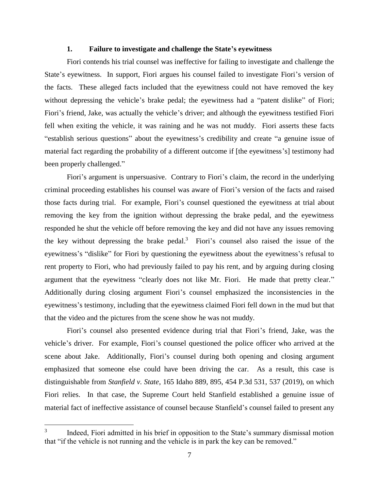## **1. Failure to investigate and challenge the State's eyewitness**

Fiori contends his trial counsel was ineffective for failing to investigate and challenge the State's eyewitness. In support, Fiori argues his counsel failed to investigate Fiori's version of the facts. These alleged facts included that the eyewitness could not have removed the key without depressing the vehicle's brake pedal; the eyewitness had a "patent dislike" of Fiori; Fiori's friend, Jake, was actually the vehicle's driver; and although the eyewitness testified Fiori fell when exiting the vehicle, it was raining and he was not muddy. Fiori asserts these facts "establish serious questions" about the eyewitness's credibility and create "a genuine issue of material fact regarding the probability of a different outcome if [the eyewitness's] testimony had been properly challenged."

Fiori's argument is unpersuasive. Contrary to Fiori's claim, the record in the underlying criminal proceeding establishes his counsel was aware of Fiori's version of the facts and raised those facts during trial. For example, Fiori's counsel questioned the eyewitness at trial about removing the key from the ignition without depressing the brake pedal, and the eyewitness responded he shut the vehicle off before removing the key and did not have any issues removing the key without depressing the brake pedal.<sup>3</sup> Fiori's counsel also raised the issue of the eyewitness's "dislike" for Fiori by questioning the eyewitness about the eyewitness's refusal to rent property to Fiori, who had previously failed to pay his rent, and by arguing during closing argument that the eyewitness "clearly does not like Mr. Fiori. He made that pretty clear." Additionally during closing argument Fiori's counsel emphasized the inconsistencies in the eyewitness's testimony, including that the eyewitness claimed Fiori fell down in the mud but that that the video and the pictures from the scene show he was not muddy.

Fiori's counsel also presented evidence during trial that Fiori's friend, Jake, was the vehicle's driver. For example, Fiori's counsel questioned the police officer who arrived at the scene about Jake. Additionally, Fiori's counsel during both opening and closing argument emphasized that someone else could have been driving the car. As a result, this case is distinguishable from *Stanfield v. State*, 165 Idaho 889, 895, 454 P.3d 531, 537 (2019), on which Fiori relies. In that case, the Supreme Court held Stanfield established a genuine issue of material fact of ineffective assistance of counsel because Stanfield's counsel failed to present any

<sup>3</sup> Indeed, Fiori admitted in his brief in opposition to the State's summary dismissal motion that "if the vehicle is not running and the vehicle is in park the key can be removed."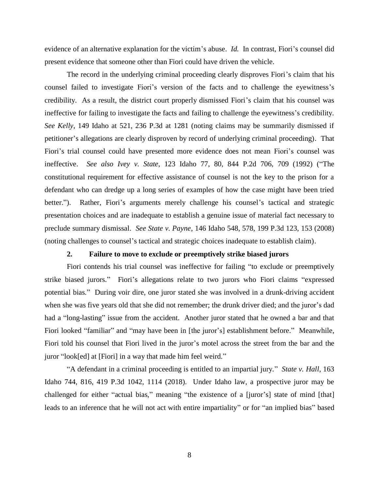evidence of an alternative explanation for the victim's abuse. *Id.* In contrast, Fiori's counsel did present evidence that someone other than Fiori could have driven the vehicle.

The record in the underlying criminal proceeding clearly disproves Fiori's claim that his counsel failed to investigate Fiori's version of the facts and to challenge the eyewitness's credibility. As a result, the district court properly dismissed Fiori's claim that his counsel was ineffective for failing to investigate the facts and failing to challenge the eyewitness's credibility. *See Kelly*, 149 Idaho at 521, 236 P.3d at 1281 (noting claims may be summarily dismissed if petitioner's allegations are clearly disproven by record of underlying criminal proceeding). That Fiori's trial counsel could have presented more evidence does not mean Fiori's counsel was ineffective. *See also Ivey v. State*, 123 Idaho 77, 80, 844 P.2d 706, 709 (1992) ("The constitutional requirement for effective assistance of counsel is not the key to the prison for a defendant who can dredge up a long series of examples of how the case might have been tried better."). Rather, Fiori's arguments merely challenge his counsel's tactical and strategic presentation choices and are inadequate to establish a genuine issue of material fact necessary to preclude summary dismissal. *See State v. Payne*, 146 Idaho 548, 578, 199 P.3d 123, 153 (2008) (noting challenges to counsel's tactical and strategic choices inadequate to establish claim).

## **2. Failure to move to exclude or preemptively strike biased jurors**

Fiori contends his trial counsel was ineffective for failing "to exclude or preemptively strike biased jurors." Fiori's allegations relate to two jurors who Fiori claims "expressed potential bias." During voir dire, one juror stated she was involved in a drunk-driving accident when she was five years old that she did not remember; the drunk driver died; and the juror's dad had a "long-lasting" issue from the accident. Another juror stated that he owned a bar and that Fiori looked "familiar" and "may have been in [the juror's] establishment before." Meanwhile, Fiori told his counsel that Fiori lived in the juror's motel across the street from the bar and the juror "look[ed] at [Fiori] in a way that made him feel weird."

"A defendant in a criminal proceeding is entitled to an impartial jury." *State v. Hall*, 163 Idaho 744, 816, 419 P.3d 1042, 1114 (2018). Under Idaho law, a prospective juror may be challenged for either "actual bias," meaning "the existence of a [juror's] state of mind [that] leads to an inference that he will not act with entire impartiality" or for "an implied bias" based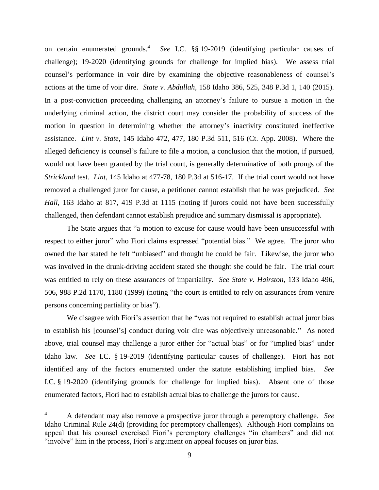on certain enumerated grounds.<sup>4</sup> *See* I.C. §§ 19-2019 (identifying particular causes of challenge); 19-2020 (identifying grounds for challenge for implied bias). We assess trial counsel's performance in voir dire by examining the objective reasonableness of counsel's actions at the time of voir dire. *State v. Abdullah*, 158 Idaho 386, 525, 348 P.3d 1, 140 (2015). In a post-conviction proceeding challenging an attorney's failure to pursue a motion in the underlying criminal action, the district court may consider the probability of success of the motion in question in determining whether the attorney's inactivity constituted ineffective assistance. *Lint v. State*, 145 Idaho 472, 477, 180 P.3d 511, 516 (Ct. App. 2008). Where the alleged deficiency is counsel's failure to file a motion, a conclusion that the motion, if pursued, would not have been granted by the trial court, is generally determinative of both prongs of the *Strickland* test. *Lint*, 145 Idaho at 477-78, 180 P.3d at 516-17. If the trial court would not have removed a challenged juror for cause, a petitioner cannot establish that he was prejudiced. *See Hall*, 163 Idaho at 817, 419 P.3d at 1115 (noting if jurors could not have been successfully challenged, then defendant cannot establish prejudice and summary dismissal is appropriate).

The State argues that "a motion to excuse for cause would have been unsuccessful with respect to either juror" who Fiori claims expressed "potential bias." We agree. The juror who owned the bar stated he felt "unbiased" and thought he could be fair. Likewise, the juror who was involved in the drunk-driving accident stated she thought she could be fair. The trial court was entitled to rely on these assurances of impartiality. *See State v. Hairston*, 133 Idaho 496, 506, 988 P.2d 1170, 1180 (1999) (noting "the court is entitled to rely on assurances from venire persons concerning partiality or bias").

We disagree with Fiori's assertion that he "was not required to establish actual juror bias to establish his [counsel's] conduct during voir dire was objectively unreasonable." As noted above, trial counsel may challenge a juror either for "actual bias" or for "implied bias" under Idaho law. *See* I.C. § 19-2019 (identifying particular causes of challenge). Fiori has not identified any of the factors enumerated under the statute establishing implied bias. *See* I.C. § 19-2020 (identifying grounds for challenge for implied bias). Absent one of those enumerated factors, Fiori had to establish actual bias to challenge the jurors for cause.

<sup>4</sup> A defendant may also remove a prospective juror through a peremptory challenge. *See*  Idaho Criminal Rule 24(d) (providing for peremptory challenges). Although Fiori complains on appeal that his counsel exercised Fiori's peremptory challenges "in chambers" and did not "involve" him in the process, Fiori's argument on appeal focuses on juror bias.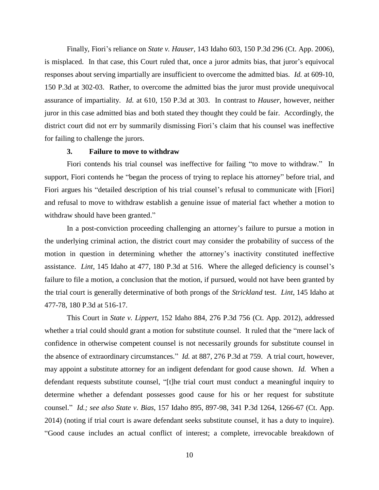Finally, Fiori's reliance on *State v. Hauser*, 143 Idaho 603, 150 P.3d 296 (Ct. App. 2006), is misplaced. In that case, this Court ruled that, once a juror admits bias, that juror's equivocal responses about serving impartially are insufficient to overcome the admitted bias. *Id.* at 609-10, 150 P.3d at 302-03. Rather, to overcome the admitted bias the juror must provide unequivocal assurance of impartiality. *Id.* at 610, 150 P.3d at 303. In contrast to *Hauser*, however, neither juror in this case admitted bias and both stated they thought they could be fair. Accordingly, the district court did not err by summarily dismissing Fiori's claim that his counsel was ineffective for failing to challenge the jurors.

### **3. Failure to move to withdraw**

Fiori contends his trial counsel was ineffective for failing "to move to withdraw." In support, Fiori contends he "began the process of trying to replace his attorney" before trial, and Fiori argues his "detailed description of his trial counsel's refusal to communicate with [Fiori] and refusal to move to withdraw establish a genuine issue of material fact whether a motion to withdraw should have been granted."

In a post-conviction proceeding challenging an attorney's failure to pursue a motion in the underlying criminal action, the district court may consider the probability of success of the motion in question in determining whether the attorney's inactivity constituted ineffective assistance. *Lint*, 145 Idaho at 477, 180 P.3d at 516. Where the alleged deficiency is counsel's failure to file a motion, a conclusion that the motion, if pursued, would not have been granted by the trial court is generally determinative of both prongs of the *Strickland* test. *Lint*, 145 Idaho at 477-78, 180 P.3d at 516-17.

This Court in *State v. Lippert*, 152 Idaho 884, 276 P.3d 756 (Ct. App. 2012), addressed whether a trial could should grant a motion for substitute counsel. It ruled that the "mere lack of confidence in otherwise competent counsel is not necessarily grounds for substitute counsel in the absence of extraordinary circumstances." *Id.* at 887, 276 P.3d at 759. A trial court, however, may appoint a substitute attorney for an indigent defendant for good cause shown. *Id.* When a defendant requests substitute counsel, "[t]he trial court must conduct a meaningful inquiry to determine whether a defendant possesses good cause for his or her request for substitute counsel." *Id.; see also State v. Bias*, 157 Idaho 895, 897-98, 341 P.3d 1264, 1266-67 (Ct. App. 2014) (noting if trial court is aware defendant seeks substitute counsel, it has a duty to inquire). "Good cause includes an actual conflict of interest; a complete, irrevocable breakdown of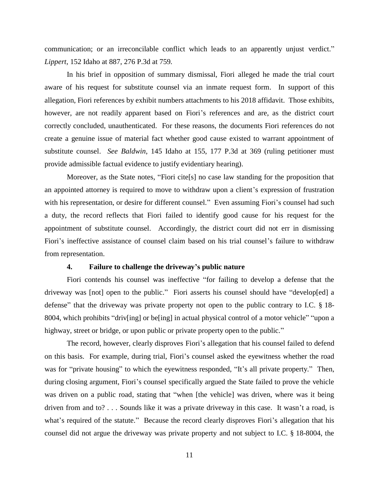communication; or an irreconcilable conflict which leads to an apparently unjust verdict." *Lippert*, 152 Idaho at 887, 276 P.3d at 759.

In his brief in opposition of summary dismissal, Fiori alleged he made the trial court aware of his request for substitute counsel via an inmate request form. In support of this allegation, Fiori references by exhibit numbers attachments to his 2018 affidavit. Those exhibits, however, are not readily apparent based on Fiori's references and are, as the district court correctly concluded, unauthenticated. For these reasons, the documents Fiori references do not create a genuine issue of material fact whether good cause existed to warrant appointment of substitute counsel. *See Baldwin*, 145 Idaho at 155, 177 P.3d at 369 (ruling petitioner must provide admissible factual evidence to justify evidentiary hearing).

Moreover, as the State notes, "Fiori cite[s] no case law standing for the proposition that an appointed attorney is required to move to withdraw upon a client's expression of frustration with his representation, or desire for different counsel." Even assuming Fiori's counsel had such a duty, the record reflects that Fiori failed to identify good cause for his request for the appointment of substitute counsel. Accordingly, the district court did not err in dismissing Fiori's ineffective assistance of counsel claim based on his trial counsel's failure to withdraw from representation.

## **4. Failure to challenge the driveway's public nature**

Fiori contends his counsel was ineffective "for failing to develop a defense that the driveway was [not] open to the public." Fiori asserts his counsel should have "develop[ed] a defense" that the driveway was private property not open to the public contrary to I.C. § 18- 8004, which prohibits "driv[ing] or be[ing] in actual physical control of a motor vehicle" "upon a highway, street or bridge, or upon public or private property open to the public."

The record, however, clearly disproves Fiori's allegation that his counsel failed to defend on this basis. For example, during trial, Fiori's counsel asked the eyewitness whether the road was for "private housing" to which the eyewitness responded, "It's all private property." Then, during closing argument, Fiori's counsel specifically argued the State failed to prove the vehicle was driven on a public road, stating that "when [the vehicle] was driven, where was it being driven from and to? . . . Sounds like it was a private driveway in this case. It wasn't a road, is what's required of the statute." Because the record clearly disproves Fiori's allegation that his counsel did not argue the driveway was private property and not subject to I.C. § 18-8004, the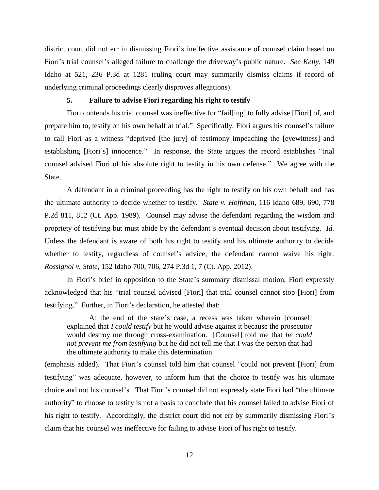district court did not err in dismissing Fiori's ineffective assistance of counsel claim based on Fiori's trial counsel's alleged failure to challenge the driveway's public nature. *See Kelly*, 149 Idaho at 521, 236 P.3d at 1281 (ruling court may summarily dismiss claims if record of underlying criminal proceedings clearly disproves allegations).

## **5. Failure to advise Fiori regarding his right to testify**

Fiori contends his trial counsel was ineffective for "fail[ing] to fully advise [Fiori] of, and prepare him to, testify on his own behalf at trial." Specifically, Fiori argues his counsel's failure to call Fiori as a witness "deprived [the jury] of testimony impeaching the [eyewitness] and establishing [Fiori's] innocence." In response, the State argues the record establishes "trial counsel advised Fiori of his absolute right to testify in his own defense." We agree with the State.

A defendant in a criminal proceeding has the right to testify on his own behalf and has the ultimate authority to decide whether to testify. *State v. Hoffman*, 116 Idaho 689, 690, 778 P.2d 811, 812 (Ct. App. 1989). Counsel may advise the defendant regarding the wisdom and propriety of testifying but must abide by the defendant's eventual decision about testifying. *Id.*  Unless the defendant is aware of both his right to testify and his ultimate authority to decide whether to testify, regardless of counsel's advice, the defendant cannot waive his right. *Rossignol v. State*, 152 Idaho 700, 706, 274 P.3d 1, 7 (Ct. App. 2012).

In Fiori's brief in opposition to the State's summary dismissal motion, Fiori expressly acknowledged that his "trial counsel advised [Fiori] that trial counsel cannot stop [Fiori] from testifying." Further, in Fiori's declaration, he attested that:

At the end of the state's case, a recess was taken wherein [counsel] explained that *I could testify* but he would advise against it because the prosecutor would destroy me through cross-examination. [Counsel] told me that *he could not prevent me from testifying* but he did not tell me that I was the person that had the ultimate authority to make this determination.

(emphasis added). That Fiori's counsel told him that counsel "could not prevent [Fiori] from testifying" was adequate, however, to inform him that the choice to testify was his ultimate choice and not his counsel's. That Fiori's counsel did not expressly state Fiori had "the ultimate authority" to choose to testify is not a basis to conclude that his counsel failed to advise Fiori of his right to testify. Accordingly, the district court did not err by summarily dismissing Fiori's claim that his counsel was ineffective for failing to advise Fiori of his right to testify.